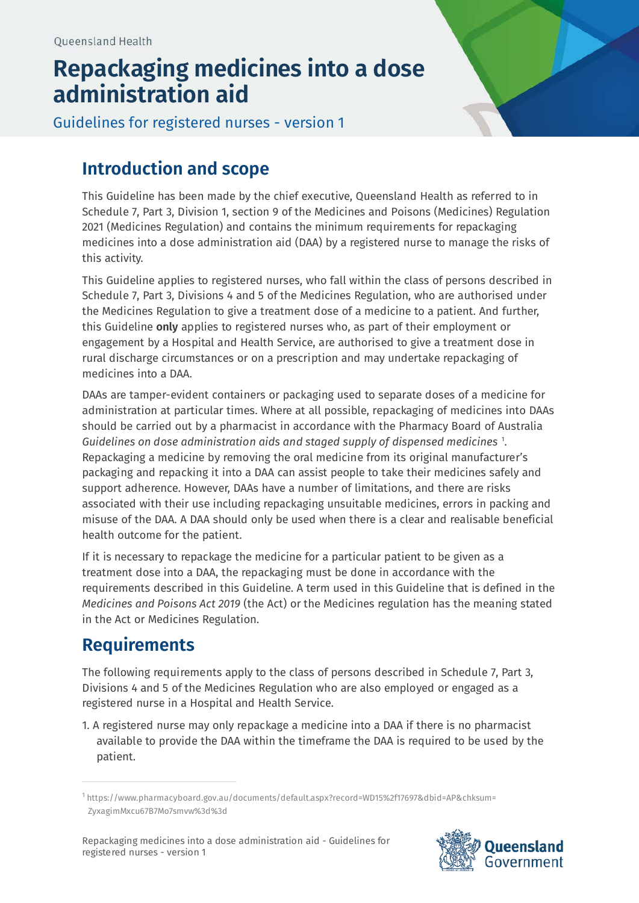## **Repackaging medicines into a dose administration aid**



Guidelines for registered nurses - version 1

## **Introduction and scope**

This Guideline has been made by the chief executive, Queensland Health as referred to in Schedule 7, Part 3, Division 1, section 9 of the Medicines and Poisons (Medicines) Regulation 2021 (Medicines Regulation) and contains the minimum requirements for repackaging medicines into a dose administration aid (DAA) by a registered nurse to manage the risks of this activity.

This Guideline applies to registered nurses, who fall within the class of persons described in Schedule 7, Part 3, Divisions 4 and 5 of the Medicines Regulation, who are authorised under the Medicines Regulation to give a treatment dose of a medicine to a patient. And further, this Guideline **only** applies to registered nurses who, as part of their employment or engagement by a Hospital and Health Service, are authorised to give a treatment dose in rural discharge circumstances or on a prescription and may undertake repackaging of medicines into a DAA.

DAAs are tamper-evident containers or packaging used to separate doses of a medicine for administration at particular times. Where at all possible, repackaging of medicines into DAAs should be carried out by a pharmacist in accordance with the Pharmacy Board of Australia *Guidelines on dose administration aids and staged supply of dispensed medicines* [1](#page-0-0) . Repackaging a medicine by removing the oral medicine from its original manufacturer's packaging and repacking it into a DAA can assist people to take their medicines safely and support adherence. However, DAAs have a number of limitations, and there are risks associated with their use including repackaging unsuitable medicines, errors in packing and misuse of the DAA. A DAA should only be used when there is a clear and realisable beneficial health outcome for the patient.

If it is necessary to repackage the medicine for a particular patient to be given as a treatment dose into a DAA, the repackaging must be done in accordance with the requirements described in this Guideline. A term used in this Guideline that is defined in the *Medicines and Poisons Act 2019* (the Act) or the Medicines regulation has the meaning stated in the Act or Medicines Regulation.

## **Requirements**

The following requirements apply to the class of persons described in Schedule 7, Part 3, Divisions 4 and 5 of the Medicines Regulation who are also employed or engaged as a registered nurse in a Hospital and Health Service.

1. A registered nurse may only repackage a medicine into a DAA if there is no pharmacist available to provide the DAA within the timeframe the DAA is required to be used by the patient.



<span id="page-0-0"></span><sup>1</sup> https://www.pharmacyboard.gov.au/documents/default.aspx?record=WD15%2f17697&dbid=AP&chksum= ZyxagimMxcu67B7Mo7smvw%3d%3d